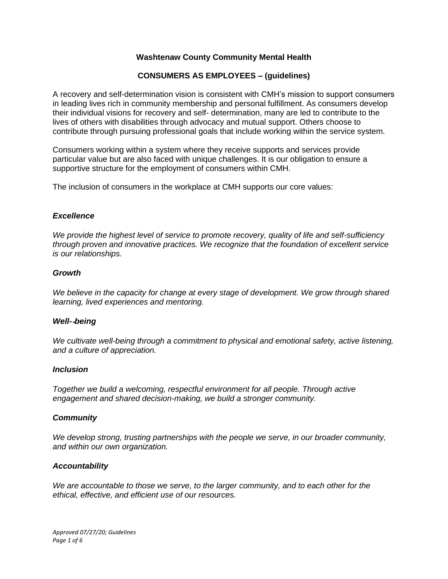## **Washtenaw County Community Mental Health**

## **CONSUMERS AS EMPLOYEES – (guidelines)**

A recovery and self-determination vision is consistent with CMH's mission to support consumers in leading lives rich in community membership and personal fulfillment. As consumers develop their individual visions for recovery and self- determination, many are led to contribute to the lives of others with disabilities through advocacy and mutual support. Others choose to contribute through pursuing professional goals that include working within the service system.

Consumers working within a system where they receive supports and services provide particular value but are also faced with unique challenges. It is our obligation to ensure a supportive structure for the employment of consumers within CMH.

The inclusion of consumers in the workplace at CMH supports our core values:

#### *Excellence*

*We provide the highest level of service to promote recovery, quality of life and self-sufficiency through proven and innovative practices. We recognize that the foundation of excellent service is our relationships.*

#### *Growth*

*We believe in the capacity for change at every stage of development. We grow through shared learning, lived experiences and mentoring.*

#### *Well-*‐*being*

*We cultivate well-being through a commitment to physical and emotional safety, active listening, and a culture of appreciation.*

#### *Inclusion*

*Together we build a welcoming, respectful environment for all people. Through active engagement and shared decision-making, we build a stronger community.*

#### *Community*

*We develop strong, trusting partnerships with the people we serve, in our broader community, and within our own organization.*

#### *Accountability*

*We are accountable to those we serve, to the larger community, and to each other for the ethical, effective, and efficient use of our resources.*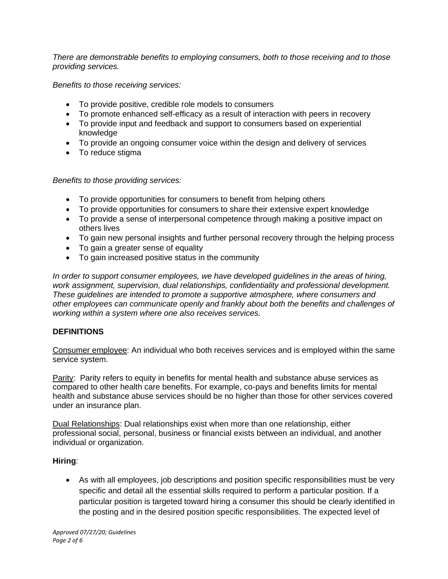*There are demonstrable benefits to employing consumers, both to those receiving and to those providing services.*

*Benefits to those receiving services:*

- To provide positive, credible role models to consumers
- To promote enhanced self-efficacy as a result of interaction with peers in recovery
- To provide input and feedback and support to consumers based on experiential knowledge
- To provide an ongoing consumer voice within the design and delivery of services
- To reduce stigma

*Benefits to those providing services:*

- To provide opportunities for consumers to benefit from helping others
- To provide opportunities for consumers to share their extensive expert knowledge
- To provide a sense of interpersonal competence through making a positive impact on others lives
- To gain new personal insights and further personal recovery through the helping process
- To gain a greater sense of equality
- To gain increased positive status in the community

*In order to support consumer employees, we have developed guidelines in the areas of hiring, work assignment, supervision, dual relationships, confidentiality and professional development. These guidelines are intended to promote a supportive atmosphere, where consumers and other employees can communicate openly and frankly about both the benefits and challenges of working within a system where one also receives services.* 

### **DEFINITIONS**

Consumer employee: An individual who both receives services and is employed within the same service system.

Parity: Parity refers to equity in benefits for mental health and substance abuse services as compared to other health care benefits. For example, co-pays and benefits limits for mental health and substance abuse services should be no higher than those for other services covered under an insurance plan.

Dual Relationships: Dual relationships exist when more than one relationship, either professional social, personal, business or financial exists between an individual, and another individual or organization.

### **Hiring**:

• As with all employees, job descriptions and position specific responsibilities must be very specific and detail all the essential skills required to perform a particular position. If a particular position is targeted toward hiring a consumer this should be clearly identified in the posting and in the desired position specific responsibilities. The expected level of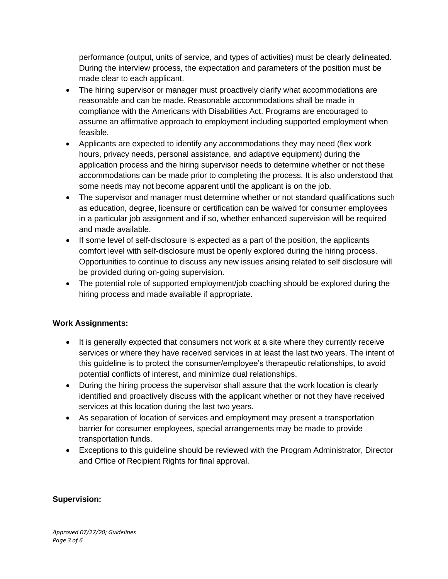performance (output, units of service, and types of activities) must be clearly delineated. During the interview process, the expectation and parameters of the position must be made clear to each applicant.

- The hiring supervisor or manager must proactively clarify what accommodations are reasonable and can be made. Reasonable accommodations shall be made in compliance with the Americans with Disabilities Act. Programs are encouraged to assume an affirmative approach to employment including supported employment when feasible.
- Applicants are expected to identify any accommodations they may need (flex work hours, privacy needs, personal assistance, and adaptive equipment) during the application process and the hiring supervisor needs to determine whether or not these accommodations can be made prior to completing the process. It is also understood that some needs may not become apparent until the applicant is on the job.
- The supervisor and manager must determine whether or not standard qualifications such as education, degree, licensure or certification can be waived for consumer employees in a particular job assignment and if so, whether enhanced supervision will be required and made available.
- If some level of self-disclosure is expected as a part of the position, the applicants comfort level with self-disclosure must be openly explored during the hiring process. Opportunities to continue to discuss any new issues arising related to self disclosure will be provided during on-going supervision.
- The potential role of supported employment/job coaching should be explored during the hiring process and made available if appropriate.

# **Work Assignments:**

- It is generally expected that consumers not work at a site where they currently receive services or where they have received services in at least the last two years. The intent of this guideline is to protect the consumer/employee's therapeutic relationships, to avoid potential conflicts of interest, and minimize dual relationships.
- During the hiring process the supervisor shall assure that the work location is clearly identified and proactively discuss with the applicant whether or not they have received services at this location during the last two years.
- As separation of location of services and employment may present a transportation barrier for consumer employees, special arrangements may be made to provide transportation funds.
- Exceptions to this guideline should be reviewed with the Program Administrator, Director and Office of Recipient Rights for final approval.

## **Supervision:**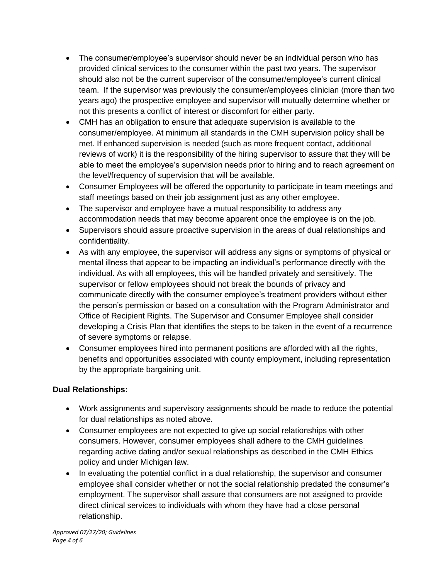- The consumer/employee's supervisor should never be an individual person who has provided clinical services to the consumer within the past two years. The supervisor should also not be the current supervisor of the consumer/employee's current clinical team. If the supervisor was previously the consumer/employees clinician (more than two years ago) the prospective employee and supervisor will mutually determine whether or not this presents a conflict of interest or discomfort for either party.
- CMH has an obligation to ensure that adequate supervision is available to the consumer/employee. At minimum all standards in the CMH supervision policy shall be met. If enhanced supervision is needed (such as more frequent contact, additional reviews of work) it is the responsibility of the hiring supervisor to assure that they will be able to meet the employee's supervision needs prior to hiring and to reach agreement on the level/frequency of supervision that will be available.
- Consumer Employees will be offered the opportunity to participate in team meetings and staff meetings based on their job assignment just as any other employee.
- The supervisor and employee have a mutual responsibility to address any accommodation needs that may become apparent once the employee is on the job.
- Supervisors should assure proactive supervision in the areas of dual relationships and confidentiality.
- As with any employee, the supervisor will address any signs or symptoms of physical or mental illness that appear to be impacting an individual's performance directly with the individual. As with all employees, this will be handled privately and sensitively. The supervisor or fellow employees should not break the bounds of privacy and communicate directly with the consumer employee's treatment providers without either the person's permission or based on a consultation with the Program Administrator and Office of Recipient Rights. The Supervisor and Consumer Employee shall consider developing a Crisis Plan that identifies the steps to be taken in the event of a recurrence of severe symptoms or relapse.
- Consumer employees hired into permanent positions are afforded with all the rights, benefits and opportunities associated with county employment, including representation by the appropriate bargaining unit.

## **Dual Relationships:**

- Work assignments and supervisory assignments should be made to reduce the potential for dual relationships as noted above.
- Consumer employees are not expected to give up social relationships with other consumers. However, consumer employees shall adhere to the CMH guidelines regarding active dating and/or sexual relationships as described in the CMH Ethics policy and under Michigan law.
- In evaluating the potential conflict in a dual relationship, the supervisor and consumer employee shall consider whether or not the social relationship predated the consumer's employment. The supervisor shall assure that consumers are not assigned to provide direct clinical services to individuals with whom they have had a close personal relationship.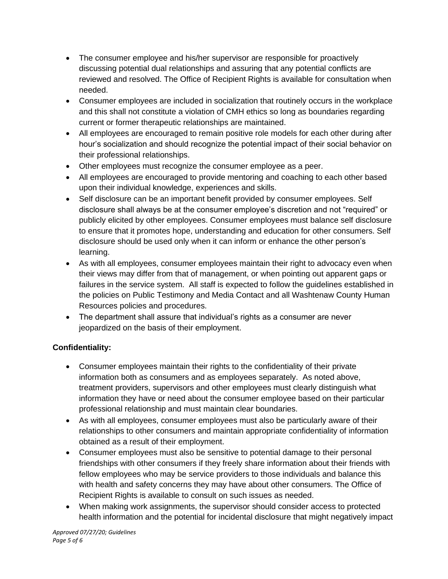- The consumer employee and his/her supervisor are responsible for proactively discussing potential dual relationships and assuring that any potential conflicts are reviewed and resolved. The Office of Recipient Rights is available for consultation when needed.
- Consumer employees are included in socialization that routinely occurs in the workplace and this shall not constitute a violation of CMH ethics so long as boundaries regarding current or former therapeutic relationships are maintained.
- All employees are encouraged to remain positive role models for each other during after hour's socialization and should recognize the potential impact of their social behavior on their professional relationships.
- Other employees must recognize the consumer employee as a peer.
- All employees are encouraged to provide mentoring and coaching to each other based upon their individual knowledge, experiences and skills.
- Self disclosure can be an important benefit provided by consumer employees. Self disclosure shall always be at the consumer employee's discretion and not "required" or publicly elicited by other employees. Consumer employees must balance self disclosure to ensure that it promotes hope, understanding and education for other consumers. Self disclosure should be used only when it can inform or enhance the other person's learning.
- As with all employees, consumer employees maintain their right to advocacy even when their views may differ from that of management, or when pointing out apparent gaps or failures in the service system. All staff is expected to follow the guidelines established in the policies on Public Testimony and Media Contact and all Washtenaw County Human Resources policies and procedures.
- The department shall assure that individual's rights as a consumer are never jeopardized on the basis of their employment.

# **Confidentiality:**

- Consumer employees maintain their rights to the confidentiality of their private information both as consumers and as employees separately. As noted above, treatment providers, supervisors and other employees must clearly distinguish what information they have or need about the consumer employee based on their particular professional relationship and must maintain clear boundaries.
- As with all employees, consumer employees must also be particularly aware of their relationships to other consumers and maintain appropriate confidentiality of information obtained as a result of their employment.
- Consumer employees must also be sensitive to potential damage to their personal friendships with other consumers if they freely share information about their friends with fellow employees who may be service providers to those individuals and balance this with health and safety concerns they may have about other consumers. The Office of Recipient Rights is available to consult on such issues as needed.
- When making work assignments, the supervisor should consider access to protected health information and the potential for incidental disclosure that might negatively impact